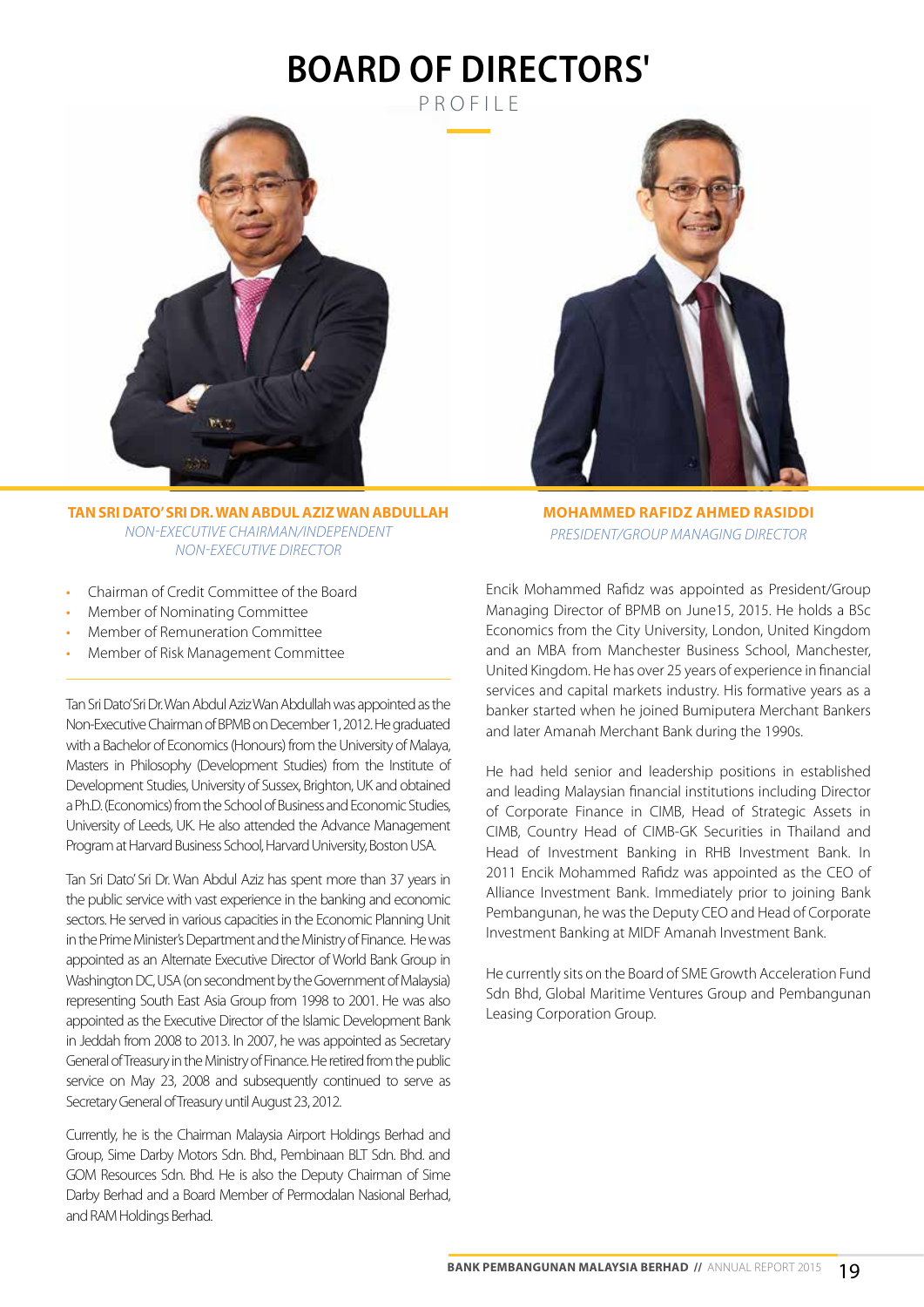## **Board OF Directors'**



**TAN SRI DATO' SRI DR. WAN ABDUL AZIZ WAN ABDULLAH**  *Non-Executive Chairman/Independent Non-Executive Director*

- Chairman of Credit Committee of the Board
- Member of Nominating Committee
- Member of Remuneration Committee
- Member of Risk Management Committee

Tan Sri Dato' Sri Dr. Wan Abdul Aziz Wan Abdullah was appointed as the Non-Executive Chairman of BPMB on December 1, 2012. He graduated with a Bachelor of Economics (Honours) from the University of Malaya, Masters in Philosophy (Development Studies) from the Institute of Development Studies, University of Sussex, Brighton, UK and obtained a Ph.D. (Economics) from the School of Business and Economic Studies, University of Leeds, UK. He also attended the Advance Management Program at Harvard Business School, Harvard University, Boston USA.

Tan Sri Dato' Sri Dr. Wan Abdul Aziz has spent more than 37 years in the public service with vast experience in the banking and economic sectors. He served in various capacities in the Economic Planning Unit in the Prime Minister's Department and the Ministry of Finance. He was appointed as an Alternate Executive Director of World Bank Group in Washington DC, USA (on secondment by the Government of Malaysia) representing South East Asia Group from 1998 to 2001. He was also appointed as the Executive Director of the Islamic Development Bank in Jeddah from 2008 to 2013. In 2007, he was appointed as Secretary General of Treasury in the Ministry of Finance. He retired from the public service on May 23, 2008 and subsequently continued to serve as Secretary General of Treasury until August 23, 2012.

Currently, he is the Chairman Malaysia Airport Holdings Berhad and Group, Sime Darby Motors Sdn. Bhd., Pembinaan BLT Sdn. Bhd. and GOM Resources Sdn. Bhd. He is also the Deputy Chairman of Sime Darby Berhad and a Board Member of Permodalan Nasional Berhad, and RAM Holdings Berhad.

**MOHAMMED RAFIDZ AHMED RASIDDI**  *President/Group Managing Director*

Encik Mohammed Rafidz was appointed as President/Group Managing Director of BPMB on June15, 2015. He holds a BSc Economics from the City University, London, United Kingdom and an MBA from Manchester Business School, Manchester, United Kingdom. He has over 25 years of experience in financial services and capital markets industry. His formative years as a banker started when he joined Bumiputera Merchant Bankers and later Amanah Merchant Bank during the 1990s.

He had held senior and leadership positions in established and leading Malaysian financial institutions including Director of Corporate Finance in CIMB, Head of Strategic Assets in CIMB, Country Head of CIMB-GK Securities in Thailand and Head of Investment Banking in RHB Investment Bank. In 2011 Encik Mohammed Rafidz was appointed as the CEO of Alliance Investment Bank. Immediately prior to joining Bank Pembangunan, he was the Deputy CEO and Head of Corporate Investment Banking at MIDF Amanah Investment Bank.

He currently sits on the Board of SME Growth Acceleration Fund Sdn Bhd, Global Maritime Ventures Group and Pembangunan Leasing Corporation Group.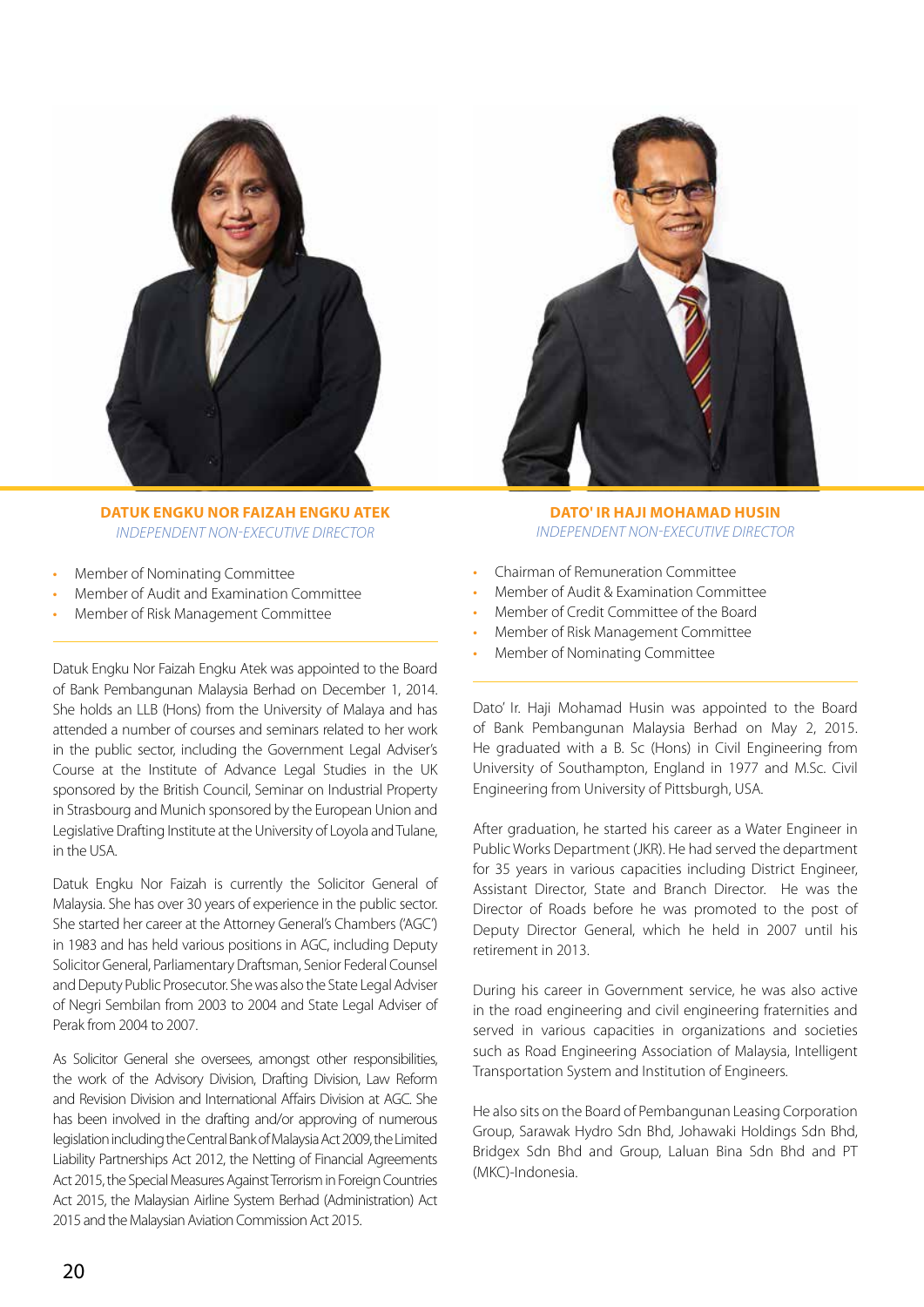

**DATUK ENGKU NOR FAIZAH ENGKU ATEK**  *Independent Non-Executive Director*

- Member of Nominating Committee
- Member of Audit and Examination Committee
- Member of Risk Management Committee

Datuk Engku Nor Faizah Engku Atek was appointed to the Board of Bank Pembangunan Malaysia Berhad on December 1, 2014. She holds an LLB (Hons) from the University of Malaya and has attended a number of courses and seminars related to her work in the public sector, including the Government Legal Adviser's Course at the Institute of Advance Legal Studies in the UK sponsored by the British Council, Seminar on Industrial Property in Strasbourg and Munich sponsored by the European Union and Legislative Drafting Institute at the University of Loyola and Tulane, in the USA.

Datuk Engku Nor Faizah is currently the Solicitor General of Malaysia. She has over 30 years of experience in the public sector. She started her career at the Attorney General's Chambers ('AGC') in 1983 and has held various positions in AGC, including Deputy Solicitor General, Parliamentary Draftsman, Senior Federal Counsel and Deputy Public Prosecutor. She was also the State Legal Adviser of Negri Sembilan from 2003 to 2004 and State Legal Adviser of Perak from 2004 to 2007.

As Solicitor General she oversees, amongst other responsibilities, the work of the Advisory Division, Drafting Division, Law Reform and Revision Division and International Affairs Division at AGC. She has been involved in the drafting and/or approving of numerous legislation including the Central Bank of Malaysia Act 2009, the Limited Liability Partnerships Act 2012, the Netting of Financial Agreements Act 2015, the Special Measures Against Terrorism in Foreign Countries Act 2015, the Malaysian Airline System Berhad (Administration) Act 2015 and the Malaysian Aviation Commission Act 2015.

**Dato' Ir Haji Mohamad Husin** *Independent Non-Executive Director*

- Chairman of Remuneration Committee
- Member of Audit & Examination Committee
- Member of Credit Committee of the Board
- Member of Risk Management Committee
- Member of Nominating Committee

Dato' Ir. Haji Mohamad Husin was appointed to the Board of Bank Pembangunan Malaysia Berhad on May 2, 2015. He graduated with a B. Sc (Hons) in Civil Engineering from University of Southampton, England in 1977 and M.Sc. Civil Engineering from University of Pittsburgh, USA.

After graduation, he started his career as a Water Engineer in Public Works Department (JKR). He had served the department for 35 years in various capacities including District Engineer, Assistant Director, State and Branch Director. He was the Director of Roads before he was promoted to the post of Deputy Director General, which he held in 2007 until his retirement in 2013.

During his career in Government service, he was also active in the road engineering and civil engineering fraternities and served in various capacities in organizations and societies such as Road Engineering Association of Malaysia, Intelligent Transportation System and Institution of Engineers.

He also sits on the Board of Pembangunan Leasing Corporation Group, Sarawak Hydro Sdn Bhd, Johawaki Holdings Sdn Bhd, Bridgex Sdn Bhd and Group, Laluan Bina Sdn Bhd and PT (MKC)-Indonesia.